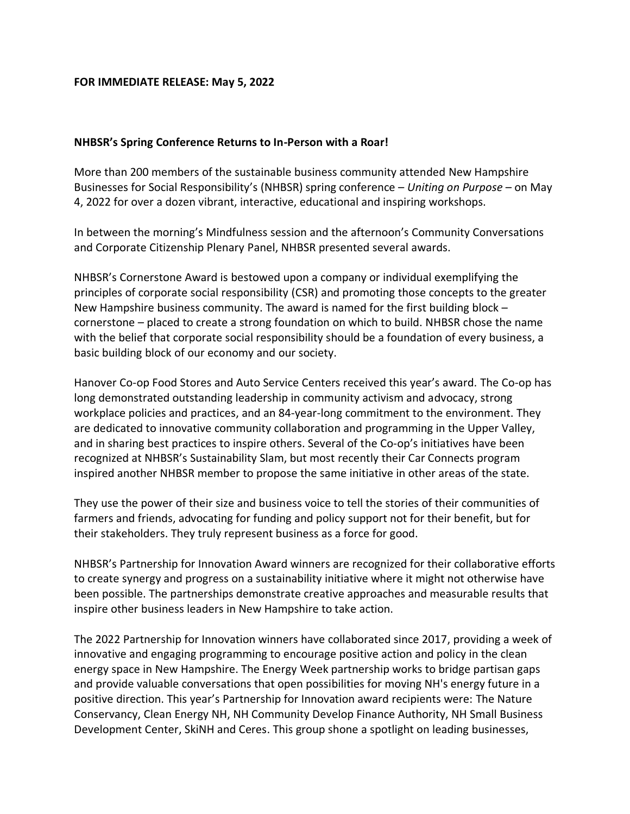## **FOR IMMEDIATE RELEASE: May 5, 2022**

## **NHBSR's Spring Conference Returns to In-Person with a Roar!**

More than 200 members of the sustainable business community attended New Hampshire Businesses for Social Responsibility's (NHBSR) spring conference – *Uniting on Purpose* – on May 4, 2022 for over a dozen vibrant, interactive, educational and inspiring workshops.

In between the morning's Mindfulness session and the afternoon's Community Conversations and Corporate Citizenship Plenary Panel, NHBSR presented several awards.

NHBSR's Cornerstone Award is bestowed upon a company or individual exemplifying the principles of corporate social responsibility (CSR) and promoting those concepts to the greater New Hampshire business community. The award is named for the first building block – cornerstone – placed to create a strong foundation on which to build. NHBSR chose the name with the belief that corporate social responsibility should be a foundation of every business, a basic building block of our economy and our society.

Hanover Co-op Food Stores and Auto Service Centers received this year's award. The Co-op has long demonstrated outstanding leadership in community activism and advocacy, strong workplace policies and practices, and an 84-year-long commitment to the environment. They are dedicated to innovative community collaboration and programming in the Upper Valley, and in sharing best practices to inspire others. Several of the Co-op's initiatives have been recognized at NHBSR's Sustainability Slam, but most recently their Car Connects program inspired another NHBSR member to propose the same initiative in other areas of the state.

They use the power of their size and business voice to tell the stories of their communities of farmers and friends, advocating for funding and policy support not for their benefit, but for their stakeholders. They truly represent business as a force for good.

NHBSR's Partnership for Innovation Award winners are recognized for their collaborative efforts to create synergy and progress on a sustainability initiative where it might not otherwise have been possible. The partnerships demonstrate creative approaches and measurable results that inspire other business leaders in New Hampshire to take action.

The 2022 Partnership for Innovation winners have collaborated since 2017, providing a week of innovative and engaging programming to encourage positive action and policy in the clean energy space in New Hampshire. The Energy Week partnership works to bridge partisan gaps and provide valuable conversations that open possibilities for moving NH's energy future in a positive direction. This year's Partnership for Innovation award recipients were: The Nature Conservancy, Clean Energy NH, NH Community Develop Finance Authority, NH Small Business Development Center, SkiNH and Ceres. This group shone a spotlight on leading businesses,